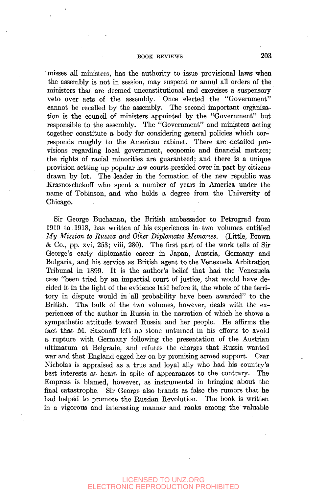## BOOK REVIEWS 203

misses all ministers, has the authority to issue provisional laws when the assembly is not in session, may suspend or annul all orders of the ministers that are deemed unconstitutional and exercises a suspensory veto over acts of the assembly. Once elected the "Government" cannot be recalled by the assembly. The second important organization is the council of ministers appointed by the "Government" but responsible to the assembly. The "Government" and ministers acting together constitute a body for considering general policies which corresponds roughly to the American cabinet. There are detailed provisions regarding local government, economic and financial matters; the rights of racial minorities are guaranteed; and there is a unique provision setting up popular law courts presided over in part by citizens drawn by lot. The leader in the formation of the new republic was Krasnoschekoff who spent a number of years in America vmder the name of Tobinson, and who holds a degree from the University of Chicago.

Sir George Buchanan, the British ambassador to Petrograd from 1910 to. 1918, has written of his experiences in two volimaes entitled . *My Mission to Russia and Other Diplomatic Memories.* (Little, Brown *&* Co., pp. xvi, 253; viii, 280). The first part of the work tells of Sir George's early diplomatic career in Japan, Austria, Germany and Bulgaria, and his service as British agent to the Venezuela Arbitration Tribunal in 1899. It is the author's belief that had the Venezuela case "been tried by an impartial court of justice, that would have decided it in the light of the evidence laid before it, the whole of the territory in dispute would in all probability have been awarded" to the British. The bulk of the two volumes, however, deals with the experiences of the author in Russia in the narration of which he shows a sympathetic attitude toward Russia and her people. He affirms the fact that M. Sazonoff left no stone unturned in his efforts to avoid a rupture with Germany following the presentation of the Austrian ultimatum at Belgrade, and refutes the charges that Russia Wanted war and that England egged her on by promising armed support. Czar Nicholas is appraised as a true and loyal ally who had his country's best interests at heart in spite of appearances to the contrary. The Empress is blamed, however, as instrumental in bringing about the final catastrophe. Sir George also brands as false the rumors that he had helped to promote the Russian Revolution. The book is written in a vigorous and interesting manner and ranks among the valuable